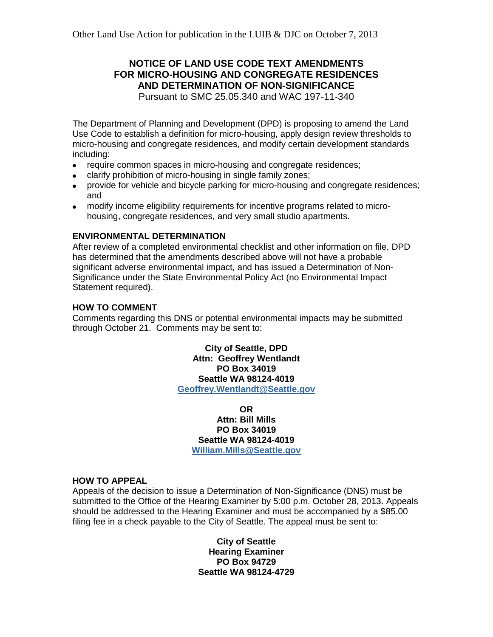# **NOTICE OF LAND USE CODE TEXT AMENDMENTS FOR MICRO-HOUSING AND CONGREGATE RESIDENCES AND DETERMINATION OF NON-SIGNIFICANCE**

Pursuant to SMC 25.05.340 and WAC 197-11-340

The Department of Planning and Development (DPD) is proposing to amend the Land Use Code to establish a definition for micro-housing, apply design review thresholds to micro-housing and congregate residences, and modify certain development standards including:

- require common spaces in micro-housing and congregate residences;
- clarify prohibition of micro-housing in single family zones;
- provide for vehicle and bicycle parking for micro-housing and congregate residences; and
- modify income eligibility requirements for incentive programs related to microhousing, congregate residences, and very small studio apartments.

### **ENVIRONMENTAL DETERMINATION**

After review of a completed environmental checklist and other information on file, DPD has determined that the amendments described above will not have a probable significant adverse environmental impact, and has issued a Determination of Non-Significance under the State Environmental Policy Act (no Environmental Impact Statement required).

### **HOW TO COMMENT**

Comments regarding this DNS or potential environmental impacts may be submitted through October 21. Comments may be sent to:

> **City of Seattle, DPD Attn: Geoffrey Wentlandt PO Box 34019 Seattle WA 98124-4019 [Geoffrey.Wentlandt@Seattle.gov](mailto:Geoffrey.Wentlandt@Seattle.gov)**

> > **OR Attn: Bill Mills PO Box 34019 Seattle WA 98124-4019 [William.Mills@Seattle.gov](mailto:William.Mills@Seattle.gov)**

#### **HOW TO APPEAL**

Appeals of the decision to issue a Determination of Non-Significance (DNS) must be submitted to the Office of the Hearing Examiner by 5:00 p.m. October 28, 2013. Appeals should be addressed to the Hearing Examiner and must be accompanied by a \$85.00 filing fee in a check payable to the City of Seattle. The appeal must be sent to:

> **City of Seattle Hearing Examiner PO Box 94729 Seattle WA 98124-4729**